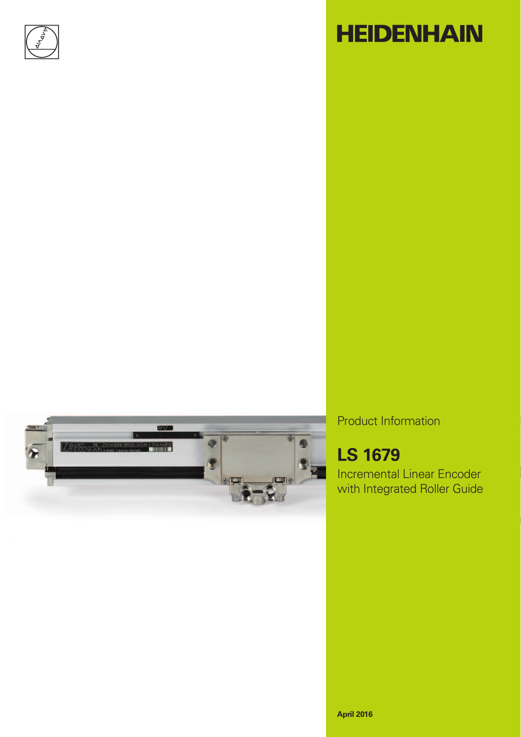

# **HEIDENHAIN**



Product Information

# **LS 1679**

Incremental Linear Encoder with Integrated Roller Guide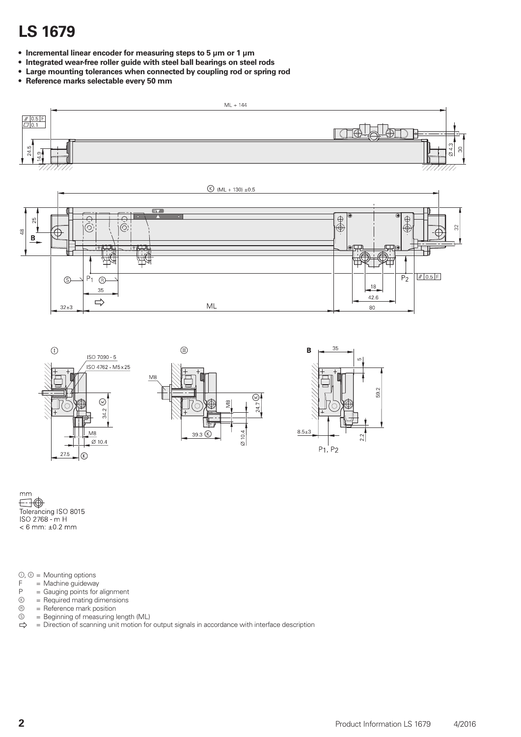### **LS 1679**

- **Incremental linear encoder for measuring steps to 5 µm or 1 µm**
- **Integrated wear-free roller guide with steel ball bearings on steel rods**
- **Large mounting tolerances when connected by coupling rod or spring rod**
- **Reference marks selectable every 50 mm**





 $mm$  $< 6$  mm:  $\pm 0.2$  mm

 $\mathbb{O}, \mathbb{O}$  = Mounting options

- $F =$ Machine guideway<br> $P =$ Gauging points for
- $P =$  Gauging points for alignment<br>  $P =$  Required mating dimensions
- $\circledR = \text{Required mating dimensions}$ <br> $\circledR = \text{Reference mark position}$
- $\circledR =$  Reference mark position<br> $\circledS =$  Beginning of measuring I
- $\circledcirc$  = Beginning of measuring length (ML)<br> $\Rightarrow$  = Direction of scanning unit motion for
- = Direction of scanning unit motion for output signals in accordance with interface description

59.2

 $2.2$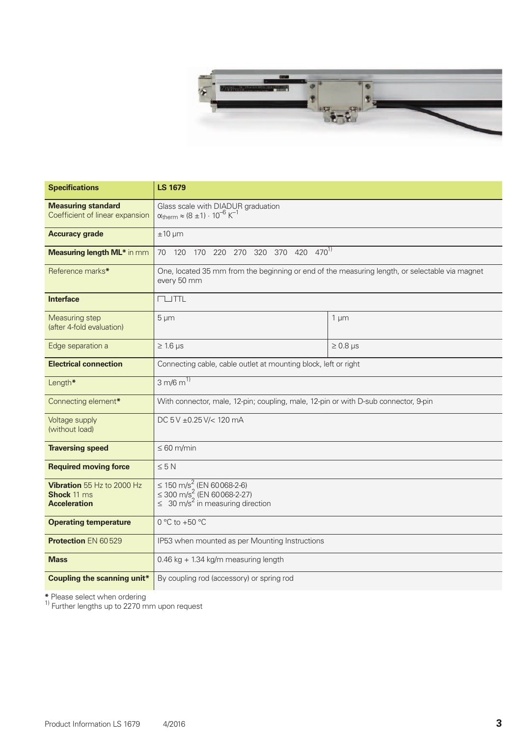

| <b>Specifications</b>                                                   | <b>LS 1679</b>                                                                                                                                 |               |  |  |  |  |  |
|-------------------------------------------------------------------------|------------------------------------------------------------------------------------------------------------------------------------------------|---------------|--|--|--|--|--|
| <b>Measuring standard</b><br>Coefficient of linear expansion            | Glass scale with DIADUR graduation<br>$\alpha_{\text{therm}} \approx (8 \pm 1) \cdot 10^{-6} \text{ K}^{-1}$                                   |               |  |  |  |  |  |
| <b>Accuracy grade</b>                                                   | $±10 \mu m$                                                                                                                                    |               |  |  |  |  |  |
| <b>Measuring length ML*</b> in mm                                       | 370 420 470 <sup>1)</sup><br>220 270<br>320<br>120<br>170<br>70                                                                                |               |  |  |  |  |  |
| Reference marks*                                                        | One, located 35 mm from the beginning or end of the measuring length, or selectable via magnet<br>every 50 mm                                  |               |  |  |  |  |  |
| <b>Interface</b>                                                        | <b>CLUTTL</b>                                                                                                                                  |               |  |  |  |  |  |
| Measuring step<br>(after 4-fold evaluation)                             | $5 \mu m$<br>$1 \mu m$                                                                                                                         |               |  |  |  |  |  |
| Edge separation a                                                       | $\geq 1.6$ µs                                                                                                                                  | $\geq 0.8$ µs |  |  |  |  |  |
| <b>Electrical connection</b>                                            | Connecting cable, cable outlet at mounting block, left or right                                                                                |               |  |  |  |  |  |
| Length*                                                                 | 3 m/6 $\overline{m^{1}}$                                                                                                                       |               |  |  |  |  |  |
| Connecting element*                                                     | With connector, male, 12-pin; coupling, male, 12-pin or with D-sub connector, 9-pin                                                            |               |  |  |  |  |  |
| Voltage supply<br>(without load)                                        | DC 5 V ±0.25 V/< 120 mA                                                                                                                        |               |  |  |  |  |  |
| <b>Traversing speed</b>                                                 | $\leq 60$ m/min                                                                                                                                |               |  |  |  |  |  |
| <b>Required moving force</b>                                            | $\leq 5 N$                                                                                                                                     |               |  |  |  |  |  |
| Vibration 55 Hz to 2000 Hz<br><b>Shock</b> 11 ms<br><b>Acceleration</b> | $\leq$ 150 m/s <sup>2</sup> (EN 60068-2-6)<br>$\leq$ 300 m/s <sup>2</sup> (EN 60068-2-27)<br>$\leq 30$ m/s <sup>2</sup> in measuring direction |               |  |  |  |  |  |
| <b>Operating temperature</b>                                            | $0 °C$ to $+50 °C$                                                                                                                             |               |  |  |  |  |  |
| <b>Protection EN 60529</b>                                              | IP53 when mounted as per Mounting Instructions                                                                                                 |               |  |  |  |  |  |
| <b>Mass</b>                                                             | 0.46 kg + 1.34 kg/m measuring length                                                                                                           |               |  |  |  |  |  |
| <b>Coupling the scanning unit*</b>                                      | By coupling rod (accessory) or spring rod                                                                                                      |               |  |  |  |  |  |

**\*** Please select when ordering 1) Further lengths up to 2270 mm upon request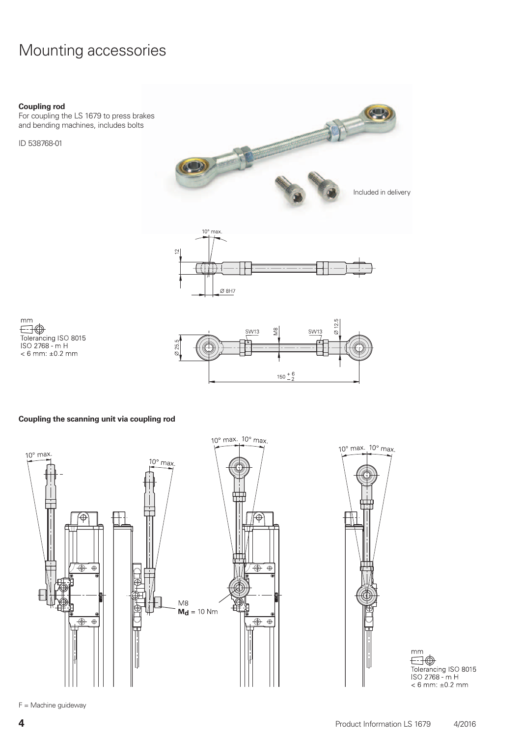### Mounting accessories

#### **Coupling rod**

For coupling the LS 1679 to press brakes and bending machines, includes bolts

ID 538768-01





 $mm$  $\bigoplus$ Tolerancing ISO 8015<br>ISO 2768 - m H  $< 6$  mm:  $±0.2$  mm



#### **Coupling the scanning unit via coupling rod**



 $10^{\circ}$  max.  $10^{\circ}$  max.

mm  $< 6$  mm:  $\pm 0.2$  mm

F = Machine guideway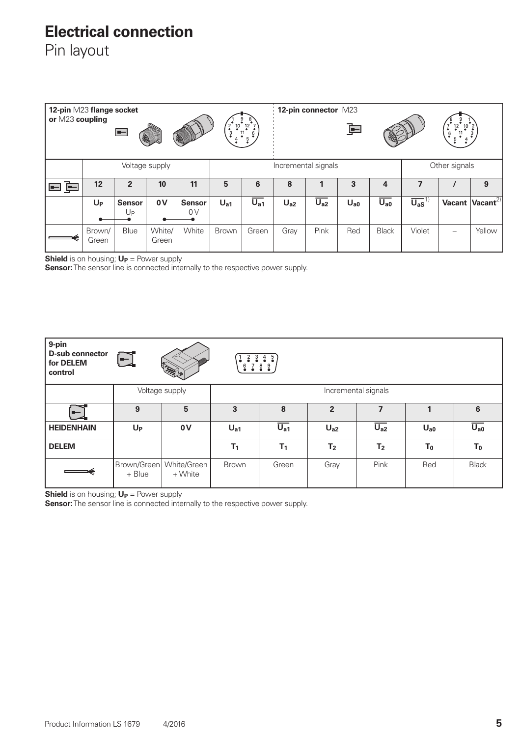### **Electrical connection**

Pin layout

| 12-pin M23 flange socket<br>or M23 coupling<br>$\frac{2}{3}$<br>$\frac{10}{10}$<br>$\equiv$<br>E<br>E |                 |                                   |                     |                     | $6\overline{6}$ |                     | 12-pin connector M23 | 車                   |          |                     | $\frac{6}{9}$<br>5                |  |                      |
|-------------------------------------------------------------------------------------------------------|-----------------|-----------------------------------|---------------------|---------------------|-----------------|---------------------|----------------------|---------------------|----------|---------------------|-----------------------------------|--|----------------------|
| Voltage supply                                                                                        |                 |                                   | Incremental signals |                     |                 |                     |                      | Other signals       |          |                     |                                   |  |                      |
| 戶<br>ᆂ                                                                                                | 12              | $\overline{2}$                    | 10                  | 11                  | 5               | 6                   | 8                    |                     | 3        | 4                   |                                   |  | 9                    |
|                                                                                                       | $U_{P}$         | <b>Sensor</b><br>$U_{\mathsf{P}}$ | 0V                  | <b>Sensor</b><br>0V | U <sub>a1</sub> | $\overline{U_{a1}}$ | U <sub>a2</sub>      | $\overline{U_{a2}}$ | $U_{a0}$ | $\overline{U_{a0}}$ | $\overline{U_{aS}}$ <sup>1]</sup> |  | Vacant $Vacant^{2)}$ |
|                                                                                                       | Brown/<br>Green | Blue                              | White/<br>Green     | White               | <b>Brown</b>    | Green               | Gray                 | Pink                | Red      | <b>Black</b>        | Violet                            |  | Yellow               |

**Shield** is on housing;  $U_P$  = Power supply

**Sensor:** The sensor line is connected internally to the respective power supply.

| 9-pin<br><b>D-sub connector</b><br>for DELEM<br>control | $\Box$<br>$\frac{4}{9}$ $\frac{5}{9}$<br>$\frac{3}{2}$<br>6789<br>A Transfer |                        |                     |                     |                |                     |          |                     |
|---------------------------------------------------------|------------------------------------------------------------------------------|------------------------|---------------------|---------------------|----------------|---------------------|----------|---------------------|
|                                                         | Voltage supply                                                               |                        | Incremental signals |                     |                |                     |          |                     |
| ᆗ                                                       | 9                                                                            | 5                      | 3                   | 8                   | $\overline{2}$ |                     |          | 6                   |
| <b>HEIDENHAIN</b>                                       | $U_{P}$                                                                      | 0V                     | $U_{a1}$            | $\overline{U_{a1}}$ | $U_{a2}$       | $\overline{U_{a2}}$ | $U_{a0}$ | $\overline{U_{a0}}$ |
| <b>DELEM</b>                                            |                                                                              |                        | T <sub>1</sub>      | T <sub>1</sub>      | T <sub>2</sub> | T <sub>2</sub>      | $T_0$    | $T_0$               |
|                                                         | Brown/Green<br>+ Blue                                                        | White/Green<br>+ White | <b>Brown</b>        | Green               | Gray           | Pink                | Red      | <b>Black</b>        |

**Shield** is on housing;  $U_P$  = Power supply

**Sensor:** The sensor line is connected internally to the respective power supply.